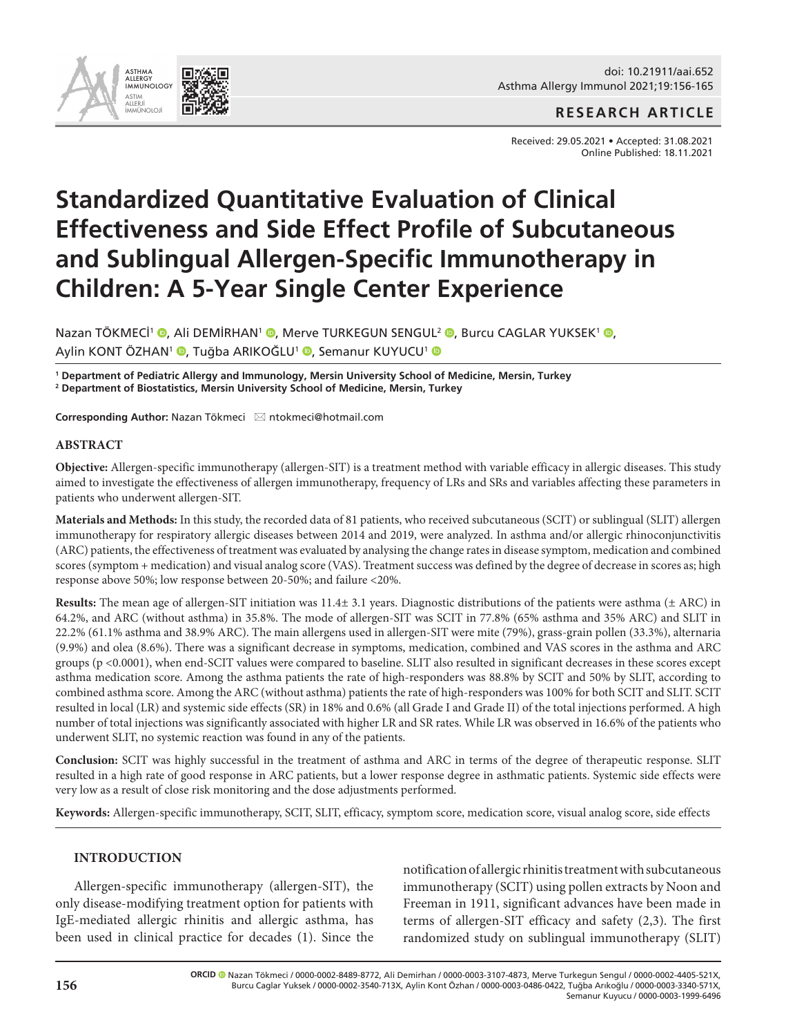

## **RESEARCH ARTICLE**

Received: 29.05.2021 • Accepted: 31.08.2021 Online Published: 18.11.2021

# **Standardized Quantitative Evaluation of Clinical Effectiveness and Side Effect Profile of Subcutaneous and Sublingual Allergen-Specific Immunotherapy in Children: A 5-Year Single Center Experience**

Nazan TÖKMECI<sup>1</sup> ®[,](http://orcid.org/0000-0002-8489-8772) Ali DEMİRHAN<sup>1</sup> ®, Merve TURKEGUN SENGUL<sup>2</sup> ®, Burcu CAGLAR YUKSEK<sup>1</sup> ®, Aylin KONT ÖZHAN<sup>1</sup> <sup>(</sup>[,](http://orcid.org/0000-0003-0486-0422) Tuğba ARIKOĞLU<sup>1</sup> <sup>()</sup>, Semanur KUYUCU<sup>1</sup> ()

**1 Department of Pediatric Allergy and Immunology, Mersin University School of Medicine, Mersin, Turkey 2 Department of Biostatistics, Mersin University School of Medicine, Mersin, Turkey** 

**Corresponding Author: Nazan Tökmeci ⊠ ntokmeci@hotmail.com** 

#### **ABSTRACT**

**Objective:** Allergen-specific immunotherapy (allergen-SIT) is a treatment method with variable efficacy in allergic diseases. This study aimed to investigate the effectiveness of allergen immunotherapy, frequency of LRs and SRs and variables affecting these parameters in patients who underwent allergen-SIT.

**Materials and Methods:** In this study, the recorded data of 81 patients, who received subcutaneous (SCIT) or sublingual (SLIT) allergen immunotherapy for respiratory allergic diseases between 2014 and 2019, were analyzed. In asthma and/or allergic rhinoconjunctivitis (ARC) patients, the effectiveness of treatment was evaluated by analysing the change rates in disease symptom, medication and combined scores (symptom + medication) and visual analog score (VAS). Treatment success was defined by the degree of decrease in scores as; high response above 50%; low response between 20-50%; and failure <20%.

**Results:** The mean age of allergen-SIT initiation was 11.4± 3.1 years. Diagnostic distributions of the patients were asthma (± ARC) in 64.2%, and ARC (without asthma) in 35.8%. The mode of allergen-SIT was SCIT in 77.8% (65% asthma and 35% ARC) and SLIT in 22.2% (61.1% asthma and 38.9% ARC). The main allergens used in allergen-SIT were mite (79%), grass-grain pollen (33.3%), alternaria (9.9%) and olea (8.6%). There was a significant decrease in symptoms, medication, combined and VAS scores in the asthma and ARC groups (p <0.0001), when end-SCIT values were compared to baseline. SLIT also resulted in significant decreases in these scores except asthma medication score. Among the asthma patients the rate of high-responders was 88.8% by SCIT and 50% by SLIT, according to combined asthma score. Among the ARC (without asthma) patients the rate of high-responders was 100% for both SCIT and SLIT. SCIT resulted in local (LR) and systemic side effects (SR) in 18% and 0.6% (all Grade I and Grade II) of the total injections performed. A high number of total injections was significantly associated with higher LR and SR rates. While LR was observed in 16.6% of the patients who underwent SLIT, no systemic reaction was found in any of the patients.

**Conclusion:** SCIT was highly successful in the treatment of asthma and ARC in terms of the degree of therapeutic response. SLIT resulted in a high rate of good response in ARC patients, but a lower response degree in asthmatic patients. Systemic side effects were very low as a result of close risk monitoring and the dose adjustments performed.

**Keywords:** Allergen-specific immunotherapy, SCIT, SLIT, efficacy, symptom score, medication score, visual analog score, side effects

#### **INTRODUCTION**

Allergen-specific immunotherapy (allergen-SIT), the only disease-modifying treatment option for patients with IgE-mediated allergic rhinitis and allergic asthma, has been used in clinical practice for decades (1). Since the notification of allergic rhinitis treatment with subcutaneous immunotherapy (SCIT) using pollen extracts by Noon and Freeman in 1911, significant advances have been made in terms of allergen-SIT efficacy and safety (2,3). The first randomized study on sublingual immunotherapy (SLIT)

**ORCID**Nazan Tökmeci / 0000-0002-8489-8772, Ali Demirhan / 0000-0003-3107-4873, Merve Turkegun Sengul / 0000-0002-4405-521X, Burcu Caglar Yuksek / 0000-0002-3540-713X, Aylin Kont Özhan / 0000-0003-0486-0422, Tuğba Arıkoğlu / 0000-0003-3340-571X, Semanur Kuyucu / 0000-0003-1999-6496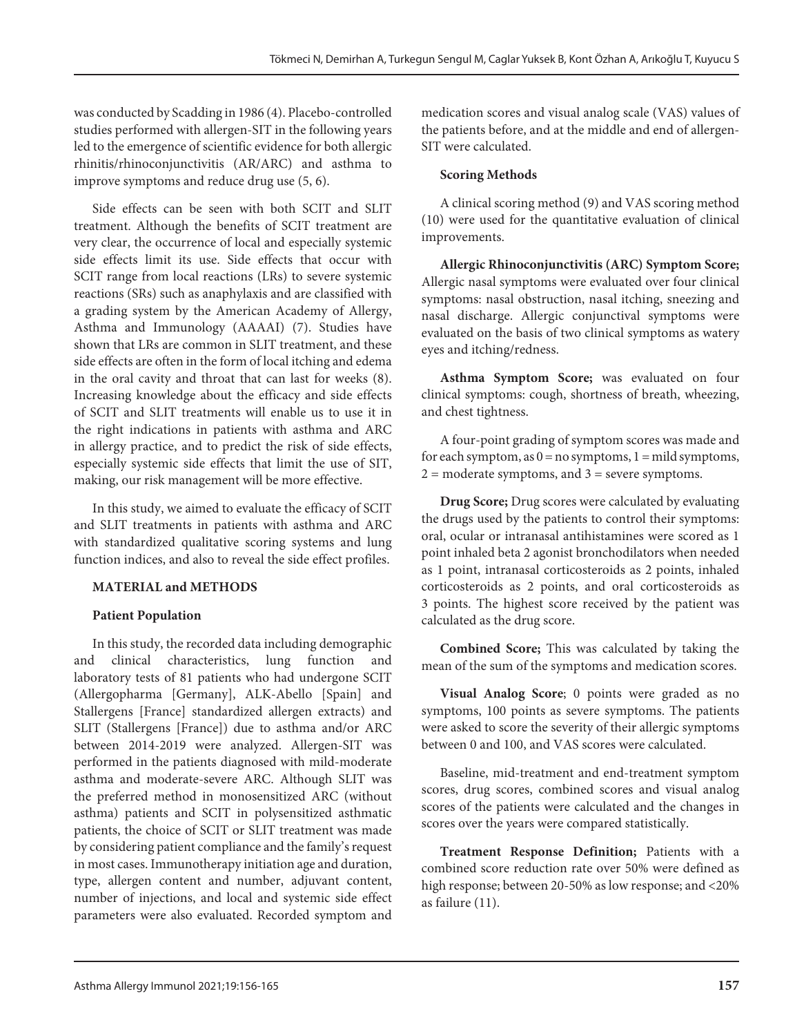was conducted by Scadding in 1986 (4). Placebo-controlled studies performed with allergen-SIT in the following years led to the emergence of scientific evidence for both allergic rhinitis/rhinoconjunctivitis (AR/ARC) and asthma to improve symptoms and reduce drug use (5, 6).

Side effects can be seen with both SCIT and SLIT treatment. Although the benefits of SCIT treatment are very clear, the occurrence of local and especially systemic side effects limit its use. Side effects that occur with SCIT range from local reactions (LRs) to severe systemic reactions (SRs) such as anaphylaxis and are classified with a grading system by the American Academy of Allergy, Asthma and Immunology (AAAAI) (7). Studies have shown that LRs are common in SLIT treatment, and these side effects are often in the form of local itching and edema in the oral cavity and throat that can last for weeks (8). Increasing knowledge about the efficacy and side effects of SCIT and SLIT treatments will enable us to use it in the right indications in patients with asthma and ARC in allergy practice, and to predict the risk of side effects, especially systemic side effects that limit the use of SIT, making, our risk management will be more effective.

In this study, we aimed to evaluate the efficacy of SCIT and SLIT treatments in patients with asthma and ARC with standardized qualitative scoring systems and lung function indices, and also to reveal the side effect profiles.

## **MATERIAL and METHODS**

## **Patient Population**

In this study, the recorded data including demographic and clinical characteristics, lung function and laboratory tests of 81 patients who had undergone SCIT (Allergopharma [Germany], ALK-Abello [Spain] and Stallergens [France] standardized allergen extracts) and SLIT (Stallergens [France]) due to asthma and/or ARC between 2014-2019 were analyzed. Allergen-SIT was performed in the patients diagnosed with mild-moderate asthma and moderate-severe ARC. Although SLIT was the preferred method in monosensitized ARC (without asthma) patients and SCIT in polysensitized asthmatic patients, the choice of SCIT or SLIT treatment was made by considering patient compliance and the family's request in most cases. Immunotherapy initiation age and duration, type, allergen content and number, adjuvant content, number of injections, and local and systemic side effect parameters were also evaluated. Recorded symptom and

medication scores and visual analog scale (VAS) values of the patients before, and at the middle and end of allergen-SIT were calculated.

#### **Scoring Methods**

A clinical scoring method (9) and VAS scoring method (10) were used for the quantitative evaluation of clinical improvements.

**Allergic Rhinoconjunctivitis (ARC) Symptom Score;** Allergic nasal symptoms were evaluated over four clinical symptoms: nasal obstruction, nasal itching, sneezing and nasal discharge. Allergic conjunctival symptoms were evaluated on the basis of two clinical symptoms as watery eyes and itching/redness.

**Asthma Symptom Score;** was evaluated on four clinical symptoms: cough, shortness of breath, wheezing, and chest tightness.

A four-point grading of symptom scores was made and for each symptom, as  $0 = no$  symptoms,  $1 = mid$  symptoms,  $2 =$  moderate symptoms, and  $3 =$  severe symptoms.

**Drug Score;** Drug scores were calculated by evaluating the drugs used by the patients to control their symptoms: oral, ocular or intranasal antihistamines were scored as 1 point inhaled beta 2 agonist bronchodilators when needed as 1 point, intranasal corticosteroids as 2 points, inhaled corticosteroids as 2 points, and oral corticosteroids as 3 points. The highest score received by the patient was calculated as the drug score.

**Combined Score;** This was calculated by taking the mean of the sum of the symptoms and medication scores.

**Visual Analog Score**; 0 points were graded as no symptoms, 100 points as severe symptoms. The patients were asked to score the severity of their allergic symptoms between 0 and 100, and VAS scores were calculated.

Baseline, mid-treatment and end-treatment symptom scores, drug scores, combined scores and visual analog scores of the patients were calculated and the changes in scores over the years were compared statistically.

**Treatment Response Definition;** Patients with a combined score reduction rate over 50% were defined as high response; between 20-50% as low response; and <20% as failure (11).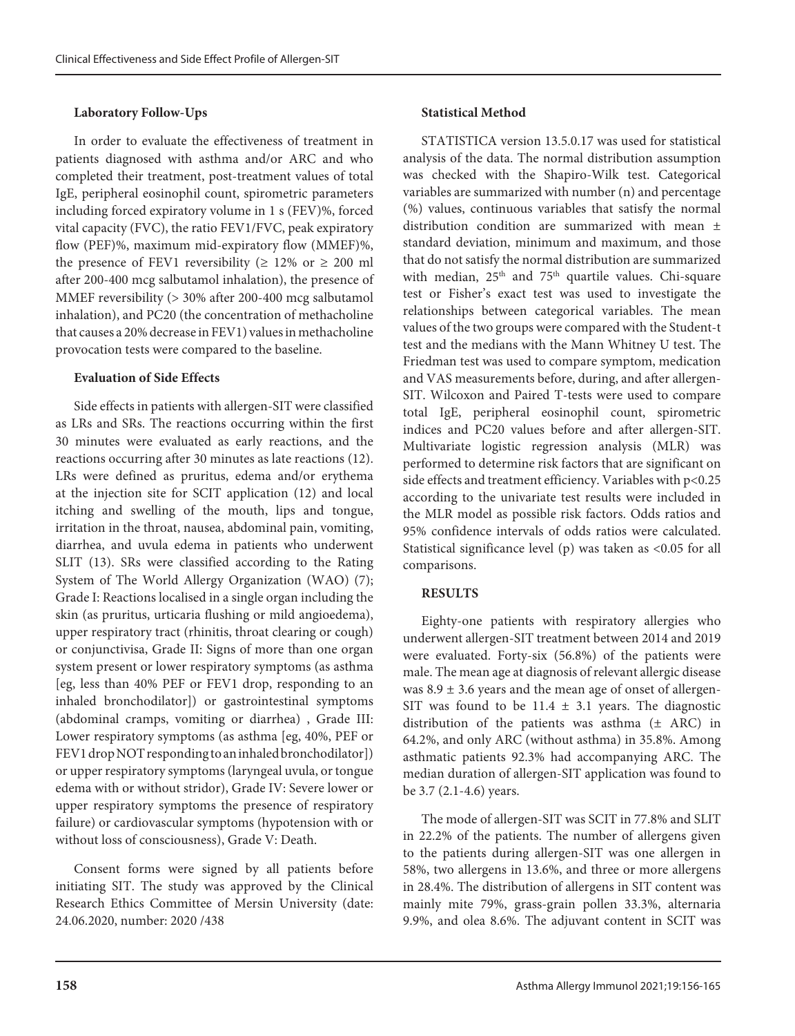#### **Laboratory Follow-Ups**

In order to evaluate the effectiveness of treatment in patients diagnosed with asthma and/or ARC and who completed their treatment, post-treatment values of total IgE, peripheral eosinophil count, spirometric parameters including forced expiratory volume in 1 s (FEV)%, forced vital capacity (FVC), the ratio FEV1/FVC, peak expiratory flow (PEF)%, maximum mid-expiratory flow (MMEF)%, the presence of FEV1 reversibility ( $\geq 12\%$  or  $\geq 200$  ml after 200-400 mcg salbutamol inhalation), the presence of MMEF reversibility (> 30% after 200-400 mcg salbutamol inhalation), and PC20 (the concentration of methacholine that causes a 20% decrease in FEV1) values in methacholine provocation tests were compared to the baseline.

#### **Evaluation of Side Effects**

Side effects in patients with allergen-SIT were classified as LRs and SRs. The reactions occurring within the first 30 minutes were evaluated as early reactions, and the reactions occurring after 30 minutes as late reactions (12). LRs were defined as pruritus, edema and/or erythema at the injection site for SCIT application (12) and local itching and swelling of the mouth, lips and tongue, irritation in the throat, nausea, abdominal pain, vomiting, diarrhea, and uvula edema in patients who underwent SLIT (13). SRs were classified according to the Rating System of The World Allergy Organization (WAO) (7); Grade I: Reactions localised in a single organ including the skin (as pruritus, urticaria flushing or mild angioedema), upper respiratory tract (rhinitis, throat clearing or cough) or conjunctivisa, Grade II: Signs of more than one organ system present or lower respiratory symptoms (as asthma [eg, less than 40% PEF or FEV1 drop, responding to an inhaled bronchodilator]) or gastrointestinal symptoms (abdominal cramps, vomiting or diarrhea) , Grade III: Lower respiratory symptoms (as asthma [eg, 40%, PEF or FEV1 drop NOT responding to an inhaled bronchodilator]) or upper respiratory symptoms (laryngeal uvula, or tongue edema with or without stridor), Grade IV: Severe lower or upper respiratory symptoms the presence of respiratory failure) or cardiovascular symptoms (hypotension with or without loss of consciousness), Grade V: Death.

Consent forms were signed by all patients before initiating SIT. The study was approved by the Clinical Research Ethics Committee of Mersin University (date: 24.06.2020, number: 2020 /438

#### **Statistical Method**

STATISTICA version 13.5.0.17 was used for statistical analysis of the data. The normal distribution assumption was checked with the Shapiro-Wilk test. Categorical variables are summarized with number (n) and percentage (%) values, continuous variables that satisfy the normal distribution condition are summarized with mean ± standard deviation, minimum and maximum, and those that do not satisfy the normal distribution are summarized with median,  $25<sup>th</sup>$  and  $75<sup>th</sup>$  quartile values. Chi-square test or Fisher's exact test was used to investigate the relationships between categorical variables. The mean values of the two groups were compared with the Student-t test and the medians with the Mann Whitney U test. The Friedman test was used to compare symptom, medication and VAS measurements before, during, and after allergen-SIT. Wilcoxon and Paired T-tests were used to compare total IgE, peripheral eosinophil count, spirometric indices and PC20 values before and after allergen-SIT. Multivariate logistic regression analysis (MLR) was performed to determine risk factors that are significant on side effects and treatment efficiency. Variables with p<0.25 according to the univariate test results were included in the MLR model as possible risk factors. Odds ratios and 95% confidence intervals of odds ratios were calculated. Statistical significance level (p) was taken as <0.05 for all comparisons.

#### **RESULTS**

Eighty-one patients with respiratory allergies who underwent allergen-SIT treatment between 2014 and 2019 were evaluated. Forty-six (56.8%) of the patients were male. The mean age at diagnosis of relevant allergic disease was  $8.9 \pm 3.6$  years and the mean age of onset of allergen-SIT was found to be  $11.4 \pm 3.1$  years. The diagnostic distribution of the patients was asthma  $(±$  ARC) in 64.2%, and only ARC (without asthma) in 35.8%. Among asthmatic patients 92.3% had accompanying ARC. The median duration of allergen-SIT application was found to be 3.7 (2.1-4.6) years.

The mode of allergen-SIT was SCIT in 77.8% and SLIT in 22.2% of the patients. The number of allergens given to the patients during allergen-SIT was one allergen in 58%, two allergens in 13.6%, and three or more allergens in 28.4%. The distribution of allergens in SIT content was mainly mite 79%, grass-grain pollen 33.3%, alternaria 9.9%, and olea 8.6%. The adjuvant content in SCIT was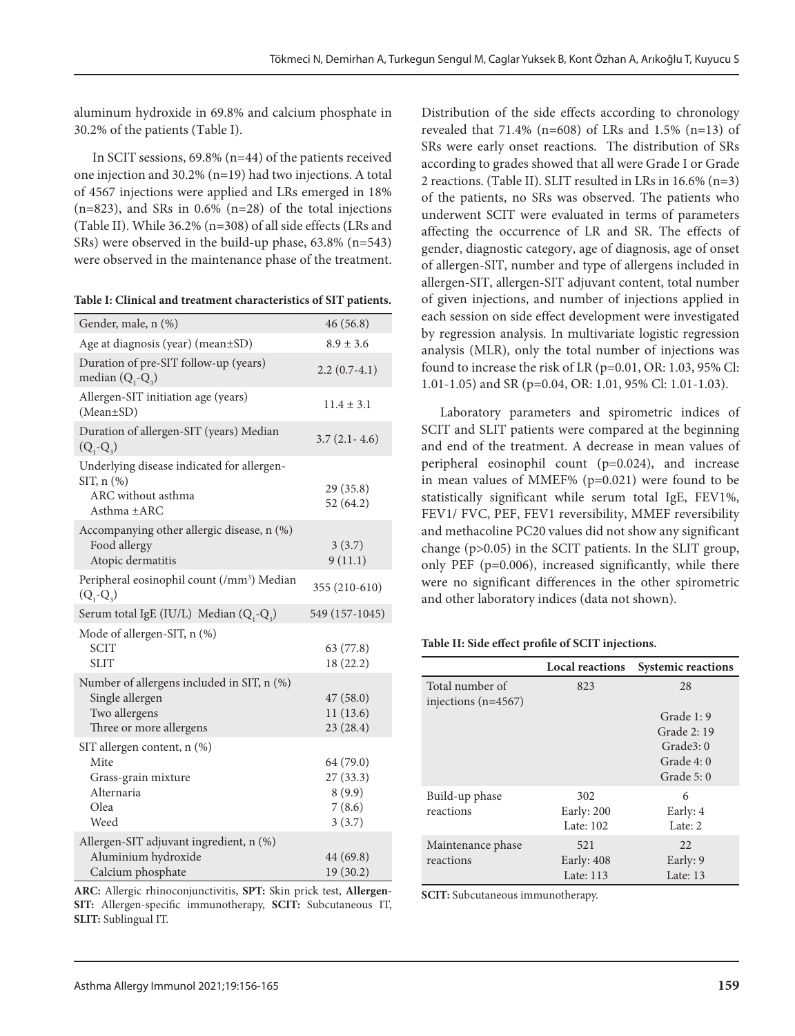aluminum hydroxide in 69.8% and calcium phosphate in 30.2% of the patients (Table I).

In SCIT sessions, 69.8% (n=44) of the patients received one injection and 30.2% (n=19) had two injections. A total of 4567 injections were applied and LRs emerged in 18%  $(n=823)$ , and SRs in 0.6%  $(n=28)$  of the total injections (Table II). While 36.2% (n=308) of all side effects (LRs and SRs) were observed in the build-up phase, 63.8% (n=543) were observed in the maintenance phase of the treatment.

|  | Table I: Clinical and treatment characteristics of SIT patients. |
|--|------------------------------------------------------------------|
|--|------------------------------------------------------------------|

| Gender, male, n (%)                                                                                       | 46(56.8)                                             |
|-----------------------------------------------------------------------------------------------------------|------------------------------------------------------|
| Age at diagnosis (year) (mean±SD)                                                                         | $8.9 \pm 3.6$                                        |
| Duration of pre-SIT follow-up (years)<br>median $(Q, -Q)$                                                 | $2.2(0.7-4.1)$                                       |
| Allergen-SIT initiation age (years)<br>$(Mean \pm SD)$                                                    | $11.4 \pm 3.1$                                       |
| Duration of allergen-SIT (years) Median<br>$(Q_1 - Q_2)$                                                  | $3.7(2.1 - 4.6)$                                     |
| Underlying disease indicated for allergen-<br>SIT, $n$ $(\%)$<br>ARC without asthma<br>Asthma ±ARC        | 29(35.8)<br>52 (64.2)                                |
| Accompanying other allergic disease, n (%)<br>Food allergy<br>Atopic dermatitis                           | 3(3.7)<br>9(11.1)                                    |
| Peripheral eosinophil count (/mm <sup>3</sup> ) Median<br>$(Q_1 - Q_3)$                                   | 355 (210-610)                                        |
| Serum total IgE (IU/L) Median $(Q_1-Q_2)$                                                                 | 549 (157-1045)                                       |
| Mode of allergen-SIT, n (%)<br><b>SCIT</b><br><b>SLIT</b>                                                 | 63 (77.8)<br>18 (22.2)                               |
| Number of allergens included in SIT, n (%)<br>Single allergen<br>Two allergens<br>Three or more allergens | 47(58.0)<br>11(13.6)<br>23 (28.4)                    |
| SIT allergen content, n (%)<br>Mite<br>Grass-grain mixture<br>Alternaria<br>Olea<br>Weed                  | 64 (79.0)<br>27 (33.3)<br>8(9.9)<br>7(8.6)<br>3(3.7) |
| Allergen-SIT adjuvant ingredient, n (%)<br>Aluminium hydroxide<br>Calcium phosphate                       | 44 (69.8)<br>19 (30.2)                               |

**ARC:** Allergic rhinoconjunctivitis, **SPT:** Skin prick test, **Allergen-SIT:** Allergen-specific immunotherapy, **SCIT:** Subcutaneous IT, **SLIT:** Sublingual IT.

Distribution of the side effects according to chronology revealed that 71.4% (n=608) of LRs and 1.5% (n=13) of SRs were early onset reactions. The distribution of SRs according to grades showed that all were Grade I or Grade 2 reactions. (Table II). SLIT resulted in LRs in 16.6% (n=3) of the patients, no SRs was observed. The patients who underwent SCIT were evaluated in terms of parameters affecting the occurrence of LR and SR. The effects of gender, diagnostic category, age of diagnosis, age of onset of allergen-SIT, number and type of allergens included in allergen-SIT, allergen-SIT adjuvant content, total number of given injections, and number of injections applied in each session on side effect development were investigated by regression analysis. In multivariate logistic regression analysis (MLR), only the total number of injections was found to increase the risk of LR (p=0.01, OR: 1.03, 95% Cl: 1.01-1.05) and SR (p=0.04, OR: 1.01, 95% Cl: 1.01-1.03).

Laboratory parameters and spirometric indices of SCIT and SLIT patients were compared at the beginning and end of the treatment. A decrease in mean values of peripheral eosinophil count (p=0.024), and increase in mean values of MMEF% (p=0.021) were found to be statistically significant while serum total IgE, FEV1%, FEV1/ FVC, PEF, FEV1 reversibility, MMEF reversibility and methacoline PC20 values did not show any significant change (p>0.05) in the SCIT patients. In the SLIT group, only PEF (p=0.006), increased significantly, while there were no significant differences in the other spirometric and other laboratory indices (data not shown).

#### **Table II: Side effect profile of SCIT injections.**

|                                          | <b>Local reactions</b> | <b>Systemic reactions</b> |
|------------------------------------------|------------------------|---------------------------|
| Total number of<br>injections $(n=4567)$ | 823                    | 28                        |
|                                          |                        | Grade 1: 9                |
|                                          |                        | Grade 2: 19               |
|                                          |                        | Grade3:0                  |
|                                          |                        | Grade 4:0                 |
|                                          |                        | Grade 5:0                 |
| Build-up phase<br>reactions              | 302<br>Early: 200      | 6<br>Early: 4             |
|                                          | Late: 102              | Late: $2$                 |
| Maintenance phase                        | 521                    | 22.                       |
| reactions                                | Early: $408$           | Early: 9                  |
|                                          | Late: 113              | Late: $13$                |

**SCIT:** Subcutaneous immunotherapy.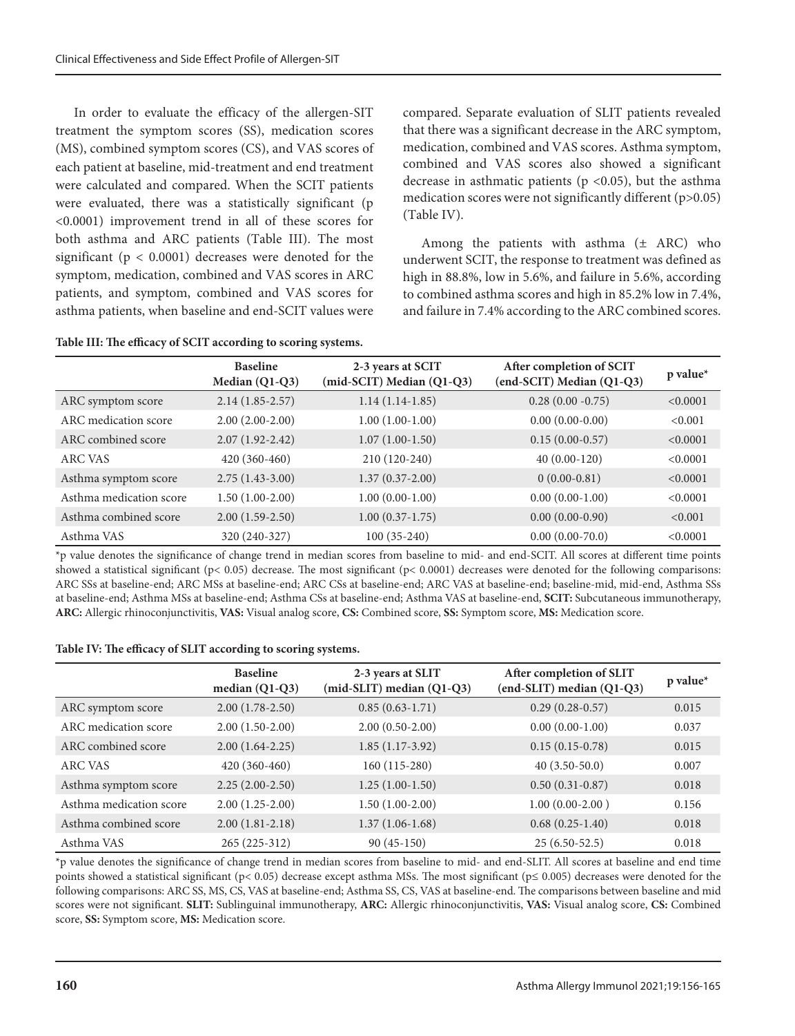In order to evaluate the efficacy of the allergen-SIT treatment the symptom scores (SS), medication scores (MS), combined symptom scores (CS), and VAS scores of each patient at baseline, mid-treatment and end treatment were calculated and compared. When the SCIT patients were evaluated, there was a statistically significant (p <0.0001) improvement trend in all of these scores for both asthma and ARC patients (Table III). The most significant ( $p < 0.0001$ ) decreases were denoted for the symptom, medication, combined and VAS scores in ARC patients, and symptom, combined and VAS scores for asthma patients, when baseline and end-SCIT values were

|  |  |  | Table III: The efficacy of SCIT according to scoring systems. |
|--|--|--|---------------------------------------------------------------|
|--|--|--|---------------------------------------------------------------|

compared. Separate evaluation of SLIT patients revealed that there was a significant decrease in the ARC symptom, medication, combined and VAS scores. Asthma symptom, combined and VAS scores also showed a significant decrease in asthmatic patients ( $p$  <0.05), but the asthma medication scores were not significantly different (p>0.05) (Table IV).

Among the patients with asthma  $(\pm$  ARC) who underwent SCIT, the response to treatment was defined as high in 88.8%, low in 5.6%, and failure in 5.6%, according to combined asthma scores and high in 85.2% low in 7.4%, and failure in 7.4% according to the ARC combined scores.

|                         | <b>Baseline</b><br>Median $(Q1-Q3)$ | 2-3 years at SCIT<br>(mid-SCIT) Median (Q1-Q3) | After completion of SCIT<br>(end-SCIT) Median (Q1-Q3) | $p$ value* |
|-------------------------|-------------------------------------|------------------------------------------------|-------------------------------------------------------|------------|
| ARC symptom score       | $2.14(1.85-2.57)$                   | $1.14(1.14-1.85)$                              | $0.28(0.00 - 0.75)$                                   | < 0.0001   |
| ARC medication score    | $2.00(2.00-2.00)$                   | $1.00(1.00-1.00)$                              | $0.00(0.00-0.00)$                                     | < 0.001    |
| ARC combined score      | $2.07(1.92 - 2.42)$                 | $1.07(1.00-1.50)$                              | $0.15(0.00-0.57)$                                     | < 0.0001   |
| ARC VAS                 | 420 (360-460)                       | 210 (120-240)                                  | $40(0.00-120)$                                        | < 0.0001   |
| Asthma symptom score    | $2.75(1.43-3.00)$                   | $1.37(0.37-2.00)$                              | $0(0.00-0.81)$                                        | < 0.0001   |
| Asthma medication score | $1.50(1.00-2.00)$                   | $1.00(0.00-1.00)$                              | $0.00(0.00-1.00)$                                     | < 0.0001   |
| Asthma combined score   | $2.00(1.59-2.50)$                   | $1.00(0.37-1.75)$                              | $0.00(0.00-0.90)$                                     | < 0.001    |
| Asthma VAS              | 320 (240-327)                       | $100(35-240)$                                  | $0.00(0.00-70.0)$                                     | < 0.0001   |

\*p value denotes the significance of change trend in median scores from baseline to mid- and end-SCIT. All scores at different time points showed a statistical significant ( $p < 0.05$ ) decrease. The most significant ( $p < 0.0001$ ) decreases were denoted for the following comparisons: ARC SSs at baseline-end; ARC MSs at baseline-end; ARC CSs at baseline-end; ARC VAS at baseline-end; baseline-mid, mid-end, Asthma SSs at baseline-end; Asthma MSs at baseline-end; Asthma CSs at baseline-end; Asthma VAS at baseline-end, **SCIT:** Subcutaneous immunotherapy, **ARC:** Allergic rhinoconjunctivitis, **VAS:** Visual analog score, **CS:** Combined score, **SS:** Symptom score, **MS:** Medication score.

#### **Table IV: The efficacy of SLIT according to scoring systems.**

|                         | <b>Baseline</b><br>median $(Q1-Q3)$ | 2-3 years at SLIT<br>$(mid-SLIT)$ median $(Q1-Q3)$ | After completion of SLIT<br>(end-SLIT) median (Q1-Q3) | $p$ value* |
|-------------------------|-------------------------------------|----------------------------------------------------|-------------------------------------------------------|------------|
| ARC symptom score       | $2.00(1.78-2.50)$                   | $0.85(0.63-1.71)$                                  | $0.29(0.28-0.57)$                                     | 0.015      |
| ARC medication score    | $2.00(1.50-2.00)$                   | $2.00(0.50-2.00)$                                  | $0.00(0.00-1.00)$                                     | 0.037      |
| ARC combined score      | $2.00(1.64-2.25)$                   | $1.85(1.17-3.92)$                                  | $0.15(0.15-0.78)$                                     | 0.015      |
| ARC VAS                 | 420 (360-460)                       | $160(115-280)$                                     | $40(3.50-50.0)$                                       | 0.007      |
| Asthma symptom score    | $2.25(2.00-2.50)$                   | $1.25(1.00-1.50)$                                  | $0.50(0.31-0.87)$                                     | 0.018      |
| Asthma medication score | $2.00(1.25-2.00)$                   | $1.50(1.00-2.00)$                                  | $1.00(0.00-2.00)$                                     | 0.156      |
| Asthma combined score   | $2.00(1.81 - 2.18)$                 | $1.37(1.06-1.68)$                                  | $0.68(0.25-1.40)$                                     | 0.018      |
| Asthma VAS              | 265 (225-312)                       | $90(45-150)$                                       | $25(6.50-52.5)$                                       | 0.018      |

\*p value denotes the significance of change trend in median scores from baseline to mid- and end-SLIT. All scores at baseline and end time points showed a statistical significant (p< 0.05) decrease except asthma MSs. The most significant (p≤ 0.005) decreases were denoted for the following comparisons: ARC SS, MS, CS, VAS at baseline-end; Asthma SS, CS, VAS at baseline-end. The comparisons between baseline and mid scores were not significant. **SLIT:** Sublinguinal immunotherapy, **ARC:** Allergic rhinoconjunctivitis, **VAS:** Visual analog score, **CS:** Combined score, **SS:** Symptom score, **MS:** Medication score.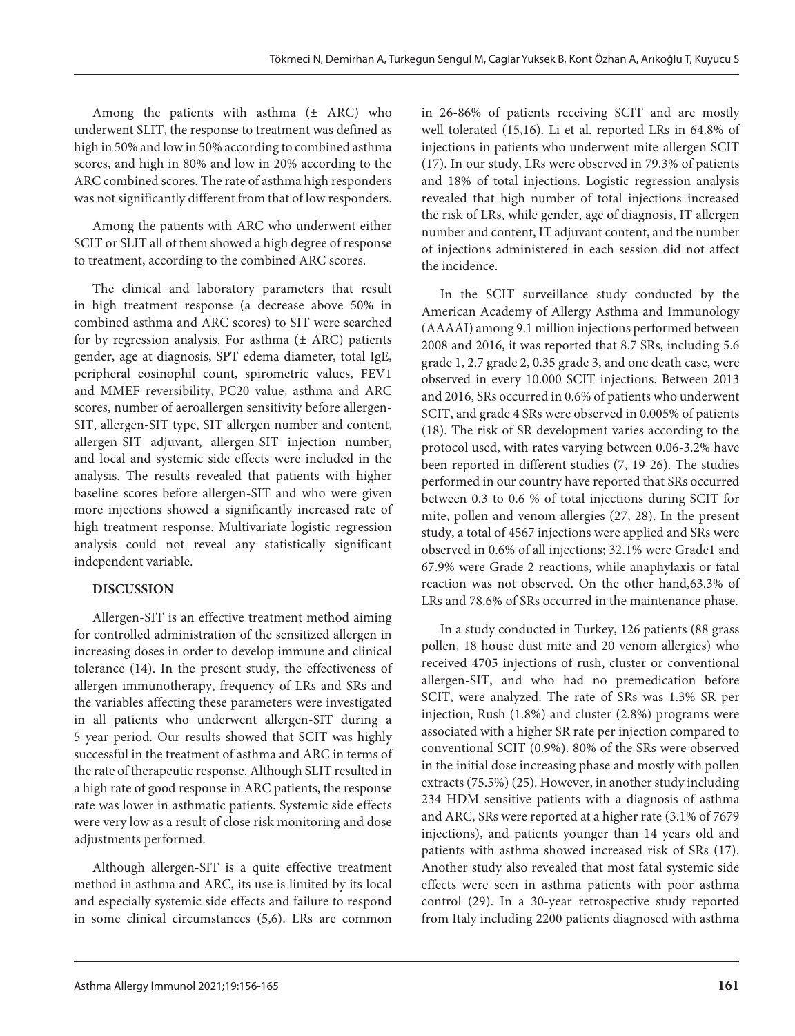Among the patients with asthma  $(\pm$  ARC) who underwent SLIT, the response to treatment was defined as high in 50% and low in 50% according to combined asthma scores, and high in 80% and low in 20% according to the ARC combined scores. The rate of asthma high responders was not significantly different from that of low responders.

Among the patients with ARC who underwent either SCIT or SLIT all of them showed a high degree of response to treatment, according to the combined ARC scores.

The clinical and laboratory parameters that result in high treatment response (a decrease above 50% in combined asthma and ARC scores) to SIT were searched for by regression analysis. For asthma  $(\pm$  ARC) patients gender, age at diagnosis, SPT edema diameter, total IgE, peripheral eosinophil count, spirometric values, FEV1 and MMEF reversibility, PC20 value, asthma and ARC scores, number of aeroallergen sensitivity before allergen-SIT, allergen-SIT type, SIT allergen number and content, allergen-SIT adjuvant, allergen-SIT injection number, and local and systemic side effects were included in the analysis. The results revealed that patients with higher baseline scores before allergen-SIT and who were given more injections showed a significantly increased rate of high treatment response. Multivariate logistic regression analysis could not reveal any statistically significant independent variable.

## **DISCUSSION**

Allergen-SIT is an effective treatment method aiming for controlled administration of the sensitized allergen in increasing doses in order to develop immune and clinical tolerance (14). In the present study, the effectiveness of allergen immunotherapy, frequency of LRs and SRs and the variables affecting these parameters were investigated in all patients who underwent allergen-SIT during a 5-year period. Our results showed that SCIT was highly successful in the treatment of asthma and ARC in terms of the rate of therapeutic response. Although SLIT resulted in a high rate of good response in ARC patients, the response rate was lower in asthmatic patients. Systemic side effects were very low as a result of close risk monitoring and dose adjustments performed.

Although allergen-SIT is a quite effective treatment method in asthma and ARC, its use is limited by its local and especially systemic side effects and failure to respond in some clinical circumstances (5,6). LRs are common

in 26-86% of patients receiving SCIT and are mostly well tolerated (15,16). Li et al. reported LRs in 64.8% of injections in patients who underwent mite-allergen SCIT (17). In our study, LRs were observed in 79.3% of patients and 18% of total injections. Logistic regression analysis revealed that high number of total injections increased the risk of LRs, while gender, age of diagnosis, IT allergen number and content, IT adjuvant content, and the number of injections administered in each session did not affect the incidence.

In the SCIT surveillance study conducted by the American Academy of Allergy Asthma and Immunology (AAAAI) among 9.1 million injections performed between 2008 and 2016, it was reported that 8.7 SRs, including 5.6 grade 1, 2.7 grade 2, 0.35 grade 3, and one death case, were observed in every 10.000 SCIT injections. Between 2013 and 2016, SRs occurred in 0.6% of patients who underwent SCIT, and grade 4 SRs were observed in 0.005% of patients (18). The risk of SR development varies according to the protocol used, with rates varying between 0.06-3.2% have been reported in different studies (7, 19-26). The studies performed in our country have reported that SRs occurred between 0.3 to 0.6 % of total injections during SCIT for mite, pollen and venom allergies (27, 28). In the present study, a total of 4567 injections were applied and SRs were observed in 0.6% of all injections; 32.1% were Grade1 and 67.9% were Grade 2 reactions, while anaphylaxis or fatal reaction was not observed. On the other hand,63.3% of LRs and 78.6% of SRs occurred in the maintenance phase.

In a study conducted in Turkey, 126 patients (88 grass pollen, 18 house dust mite and 20 venom allergies) who received 4705 injections of rush, cluster or conventional allergen-SIT, and who had no premedication before SCIT, were analyzed. The rate of SRs was 1.3% SR per injection, Rush (1.8%) and cluster (2.8%) programs were associated with a higher SR rate per injection compared to conventional SCIT (0.9%). 80% of the SRs were observed in the initial dose increasing phase and mostly with pollen extracts (75.5%) (25). However, in another study including 234 HDM sensitive patients with a diagnosis of asthma and ARC, SRs were reported at a higher rate (3.1% of 7679 injections), and patients younger than 14 years old and patients with asthma showed increased risk of SRs (17). Another study also revealed that most fatal systemic side effects were seen in asthma patients with poor asthma control (29). In a 30-year retrospective study reported from Italy including 2200 patients diagnosed with asthma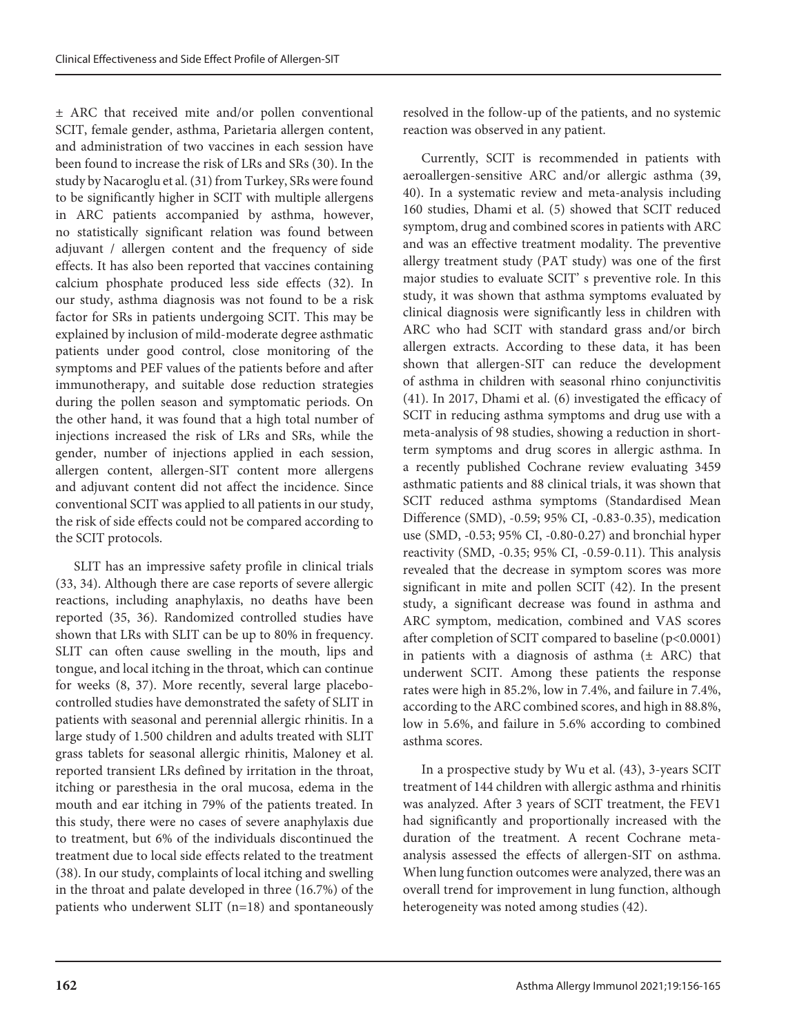± ARC that received mite and/or pollen conventional SCIT, female gender, asthma, Parietaria allergen content, and administration of two vaccines in each session have been found to increase the risk of LRs and SRs (30). In the study by Nacaroglu et al. (31) from Turkey, SRs were found to be significantly higher in SCIT with multiple allergens in ARC patients accompanied by asthma, however, no statistically significant relation was found between adjuvant / allergen content and the frequency of side effects. It has also been reported that vaccines containing calcium phosphate produced less side effects (32). In our study, asthma diagnosis was not found to be a risk factor for SRs in patients undergoing SCIT. This may be explained by inclusion of mild-moderate degree asthmatic patients under good control, close monitoring of the symptoms and PEF values of the patients before and after immunotherapy, and suitable dose reduction strategies during the pollen season and symptomatic periods. On the other hand, it was found that a high total number of injections increased the risk of LRs and SRs, while the gender, number of injections applied in each session, allergen content, allergen-SIT content more allergens and adjuvant content did not affect the incidence. Since conventional SCIT was applied to all patients in our study, the risk of side effects could not be compared according to the SCIT protocols.

SLIT has an impressive safety profile in clinical trials (33, 34). Although there are case reports of severe allergic reactions, including anaphylaxis, no deaths have been reported (35, 36). Randomized controlled studies have shown that LRs with SLIT can be up to 80% in frequency. SLIT can often cause swelling in the mouth, lips and tongue, and local itching in the throat, which can continue for weeks (8, 37). More recently, several large placebocontrolled studies have demonstrated the safety of SLIT in patients with seasonal and perennial allergic rhinitis. In a large study of 1.500 children and adults treated with SLIT grass tablets for seasonal allergic rhinitis, Maloney et al. reported transient LRs defined by irritation in the throat, itching or paresthesia in the oral mucosa, edema in the mouth and ear itching in 79% of the patients treated. In this study, there were no cases of severe anaphylaxis due to treatment, but 6% of the individuals discontinued the treatment due to local side effects related to the treatment (38). In our study, complaints of local itching and swelling in the throat and palate developed in three (16.7%) of the patients who underwent SLIT (n=18) and spontaneously resolved in the follow-up of the patients, and no systemic reaction was observed in any patient.

Currently, SCIT is recommended in patients with aeroallergen-sensitive ARC and/or allergic asthma (39, 40). In a systematic review and meta-analysis including 160 studies, Dhami et al. (5) showed that SCIT reduced symptom, drug and combined scores in patients with ARC and was an effective treatment modality. The preventive allergy treatment study (PAT study) was one of the first major studies to evaluate SCIT' s preventive role. In this study, it was shown that asthma symptoms evaluated by clinical diagnosis were significantly less in children with ARC who had SCIT with standard grass and/or birch allergen extracts. According to these data, it has been shown that allergen-SIT can reduce the development of asthma in children with seasonal rhino conjunctivitis (41). In 2017, Dhami et al. (6) investigated the efficacy of SCIT in reducing asthma symptoms and drug use with a meta-analysis of 98 studies, showing a reduction in shortterm symptoms and drug scores in allergic asthma. In a recently published Cochrane review evaluating 3459 asthmatic patients and 88 clinical trials, it was shown that SCIT reduced asthma symptoms (Standardised Mean Difference (SMD), -0.59; 95% CI, -0.83-0.35), medication use (SMD, -0.53; 95% CI, -0.80-0.27) and bronchial hyper reactivity (SMD, -0.35; 95% CI, -0.59-0.11). This analysis revealed that the decrease in symptom scores was more significant in mite and pollen SCIT (42). In the present study, a significant decrease was found in asthma and ARC symptom, medication, combined and VAS scores after completion of SCIT compared to baseline (p<0.0001) in patients with a diagnosis of asthma  $(±$  ARC) that underwent SCIT. Among these patients the response rates were high in 85.2%, low in 7.4%, and failure in 7.4%, according to the ARC combined scores, and high in 88.8%, low in 5.6%, and failure in 5.6% according to combined asthma scores.

In a prospective study by Wu et al. (43), 3-years SCIT treatment of 144 children with allergic asthma and rhinitis was analyzed. After 3 years of SCIT treatment, the FEV1 had significantly and proportionally increased with the duration of the treatment. A recent Cochrane metaanalysis assessed the effects of allergen-SIT on asthma. When lung function outcomes were analyzed, there was an overall trend for improvement in lung function, although heterogeneity was noted among studies (42).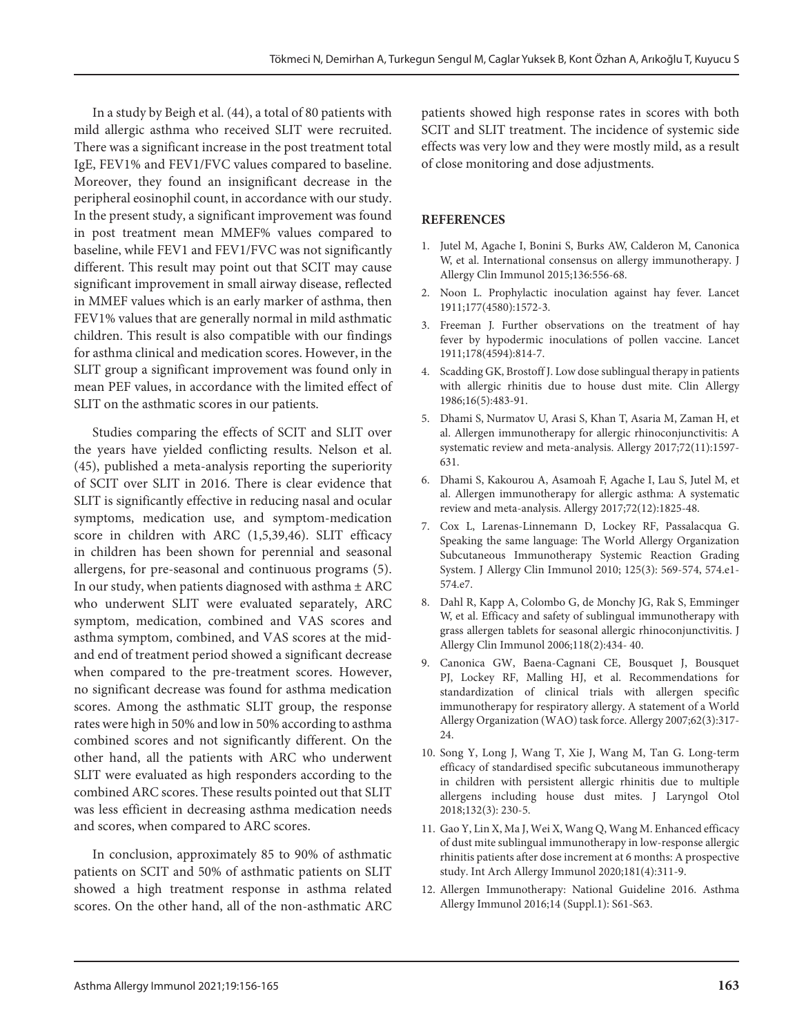In a study by Beigh et al. (44), a total of 80 patients with mild allergic asthma who received SLIT were recruited. There was a significant increase in the post treatment total IgE, FEV1% and FEV1/FVC values compared to baseline. Moreover, they found an insignificant decrease in the peripheral eosinophil count, in accordance with our study. In the present study, a significant improvement was found in post treatment mean MMEF% values compared to baseline, while FEV1 and FEV1/FVC was not significantly different. This result may point out that SCIT may cause significant improvement in small airway disease, reflected in MMEF values which is an early marker of asthma, then FEV1% values that are generally normal in mild asthmatic children. This result is also compatible with our findings for asthma clinical and medication scores. However, in the SLIT group a significant improvement was found only in mean PEF values, in accordance with the limited effect of SLIT on the asthmatic scores in our patients.

Studies comparing the effects of SCIT and SLIT over the years have yielded conflicting results. Nelson et al. (45), published a meta-analysis reporting the superiority of SCIT over SLIT in 2016. There is clear evidence that SLIT is significantly effective in reducing nasal and ocular symptoms, medication use, and symptom-medication score in children with ARC (1,5,39,46). SLIT efficacy in children has been shown for perennial and seasonal allergens, for pre-seasonal and continuous programs (5). In our study, when patients diagnosed with asthma  $\pm$  ARC who underwent SLIT were evaluated separately, ARC symptom, medication, combined and VAS scores and asthma symptom, combined, and VAS scores at the midand end of treatment period showed a significant decrease when compared to the pre-treatment scores. However, no significant decrease was found for asthma medication scores. Among the asthmatic SLIT group, the response rates were high in 50% and low in 50% according to asthma combined scores and not significantly different. On the other hand, all the patients with ARC who underwent SLIT were evaluated as high responders according to the combined ARC scores. These results pointed out that SLIT was less efficient in decreasing asthma medication needs and scores, when compared to ARC scores.

In conclusion, approximately 85 to 90% of asthmatic patients on SCIT and 50% of asthmatic patients on SLIT showed a high treatment response in asthma related scores. On the other hand, all of the non-asthmatic ARC

patients showed high response rates in scores with both SCIT and SLIT treatment. The incidence of systemic side effects was very low and they were mostly mild, as a result of close monitoring and dose adjustments.

#### **REFERENCES**

- 1. Jutel M, Agache I, Bonini S, Burks AW, Calderon M, Canonica W, et al. International consensus on allergy immunotherapy. J Allergy Clin Immunol 2015;136:556‐68.
- 2. Noon L. Prophylactic inoculation against hay fever. Lancet 1911;177(4580):1572-3.
- 3. Freeman J. Further observations on the treatment of hay fever by hypodermic inoculations of pollen vaccine. Lancet 1911;178(4594):814-7.
- 4. Scadding GK, Brostoff J. Low dose sublingual therapy in patients with allergic rhinitis due to house dust mite. Clin Allergy 1986;16(5):483-91.
- 5. Dhami S, Nurmatov U, Arasi S, Khan T, Asaria M, Zaman H, et al. Allergen immunotherapy for allergic rhinoconjunctivitis: A systematic review and meta-analysis. Allergy 2017;72(11):1597- 631.
- 6. Dhami S, Kakourou A, Asamoah F, Agache I, Lau S, Jutel M, et al. Allergen immunotherapy for allergic asthma: A systematic review and meta-analysis. Allergy 2017;72(12):1825-48.
- 7. Cox L, Larenas-Linnemann D, Lockey RF, Passalacqua G. Speaking the same language: The World Allergy Organization Subcutaneous Immunotherapy Systemic Reaction Grading System. J Allergy Clin Immunol 2010; 125(3): 569-574, 574.e1- 574.e7.
- 8. Dahl R, Kapp A, Colombo G, de Monchy JG, Rak S, Emminger W, et al. Efficacy and safety of sublingual immunotherapy with grass allergen tablets for seasonal allergic rhinoconjunctivitis. J Allergy Clin Immunol 2006;118(2):434- 40.
- 9. Canonica GW, Baena-Cagnani CE, Bousquet J, Bousquet PJ, Lockey RF, Malling HJ, et al. Recommendations for standardization of clinical trials with allergen specific immunotherapy for respiratory allergy. A statement of a World Allergy Organization (WAO) task force. Allergy 2007;62(3):317- 24.
- 10. Song Y, Long J, Wang T, Xie J, Wang M, Tan G. Long-term efficacy of standardised specific subcutaneous immunotherapy in children with persistent allergic rhinitis due to multiple allergens including house dust mites. J Laryngol Otol 2018;132(3): 230-5.
- 11. Gao Y, Lin X, Ma J, Wei X, Wang Q, Wang M. Enhanced efficacy of dust mite sublingual immunotherapy in low-response allergic rhinitis patients after dose increment at 6 months: A prospective study. Int Arch Allergy Immunol 2020;181(4):311-9.
- 12. Allergen Immunotherapy: National Guideline 2016. Asthma Allergy Immunol 2016;14 (Suppl.1): S61-S63.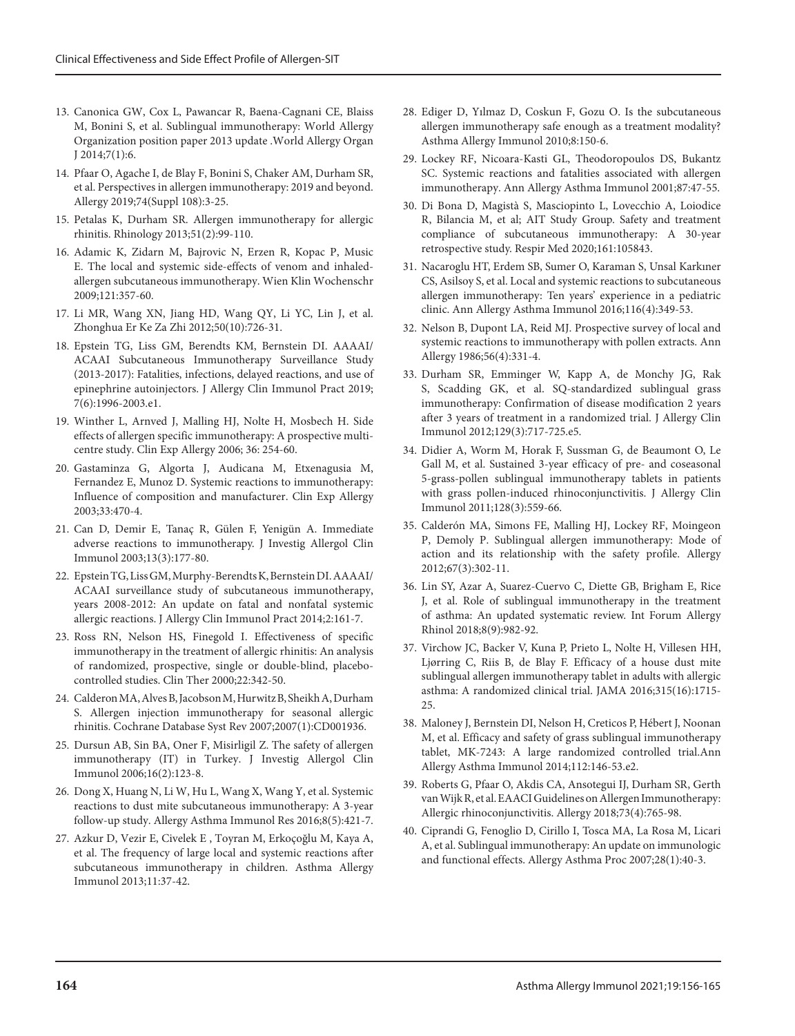- 13. Canonica GW, Cox L, Pawancar R, Baena-Cagnani CE, Blaiss M, Bonini S, et al. Sublingual immunotherapy: World Allergy Organization position paper 2013 update .World Allergy Organ J 2014;7(1):6.
- 14. Pfaar O, Agache I, de Blay F, Bonini S, Chaker AM, Durham SR, et al. Perspectives in allergen immunotherapy: 2019 and beyond. Allergy 2019;74(Suppl 108):3-25.
- 15. Petalas K, Durham SR. Allergen immunotherapy for allergic rhinitis. Rhinology 2013;51(2):99-110.
- 16. Adamic K, Zidarn M, Bajrovic N, Erzen R, Kopac P, Music E. The local and systemic side-effects of venom and inhaledallergen subcutaneous immunotherapy. Wien Klin Wochenschr 2009;121:357-60.
- 17. Li MR, Wang XN, Jiang HD, Wang QY, Li YC, Lin J, et al. Zhonghua Er Ke Za Zhi 2012;50(10):726-31.
- 18. Epstein TG, Liss GM, Berendts KM, Bernstein DI. AAAAI/ ACAAI Subcutaneous Immunotherapy Surveillance Study (2013-2017): Fatalities, infections, delayed reactions, and use of epinephrine autoinjectors. J Allergy Clin Immunol Pract 2019; 7(6):1996-2003.e1.
- 19. Winther L, Arnved J, Malling HJ, Nolte H, Mosbech H. Side effects of allergen specific immunotherapy: A prospective multicentre study. Clin Exp Allergy 2006; 36: 254-60.
- 20. Gastaminza G, Algorta J, Audicana M, Etxenagusia M, Fernandez E, Munoz D. Systemic reactions to immunotherapy: Influence of composition and manufacturer. Clin Exp Allergy 2003;33:470-4.
- 21. Can D, Demir E, Tanaç R, Gülen F, Yenigün A. Immediate adverse reactions to immunotherapy. J Investig Allergol Clin Immunol 2003;13(3):177-80.
- 22. Epstein TG, Liss GM, Murphy-Berendts K, Bernstein DI. AAAAI/ ACAAI surveillance study of subcutaneous immunotherapy, years 2008-2012: An update on fatal and nonfatal systemic allergic reactions. J Allergy Clin Immunol Pract 2014;2:161-7.
- 23. Ross RN, Nelson HS, Finegold I. Effectiveness of specific immunotherapy in the treatment of allergic rhinitis: An analysis of randomized, prospective, single or double-blind, placebocontrolled studies. Clin Ther 2000;22:342-50.
- 24. Calderon MA, Alves B, Jacobson M, Hurwitz B, Sheikh A, Durham S. Allergen injection immunotherapy for seasonal allergic rhinitis. Cochrane Database Syst Rev 2007;2007(1):CD001936.
- 25. Dursun AB, Sin BA, Oner F, Misirligil Z. The safety of allergen immunotherapy (IT) in Turkey. J Investig Allergol Clin Immunol 2006;16(2):123-8.
- 26. Dong X, Huang N, Li W, Hu L, Wang X, Wang Y, et al. Systemic reactions to dust mite subcutaneous immunotherapy: A 3-year follow-up study. Allergy Asthma Immunol Res 2016;8(5):421-7.
- 27. Azkur D, Vezir E, Civelek E , Toyran M, Erkoçoğlu M, Kaya A, et al. The frequency of large local and systemic reactions after subcutaneous immunotherapy in children. Asthma Allergy Immunol 2013;11:37-42.
- 28. Ediger D, Yılmaz D, Coskun F, Gozu O. Is the subcutaneous allergen immunotherapy safe enough as a treatment modality? Asthma Allergy Immunol 2010;8:150-6.
- 29. Lockey RF, Nicoara-Kasti GL, Theodoropoulos DS, Bukantz SC. Systemic reactions and fatalities associated with allergen immunotherapy. Ann Allergy Asthma Immunol 2001;87:47-55.
- 30. Di Bona D, Magistà S, Masciopinto L, Lovecchio A, Loiodice R, Bilancia M, et al; AIT Study Group. Safety and treatment compliance of subcutaneous immunotherapy: A 30-year retrospective study. Respir Med 2020;161:105843.
- 31. Nacaroglu HT, Erdem SB, Sumer O, Karaman S, Unsal Karkıner CS, Asilsoy S, et al. Local and systemic reactions to subcutaneous allergen immunotherapy: Ten years' experience in a pediatric clinic. Ann Allergy Asthma Immunol 2016;116(4):349-53.
- 32. Nelson B, Dupont LA, Reid MJ. Prospective survey of local and systemic reactions to immunotherapy with pollen extracts. Ann Allergy 1986;56(4):331-4.
- 33. Durham SR, Emminger W, Kapp A, de Monchy JG, Rak S, Scadding GK, et al. SQ-standardized sublingual grass immunotherapy: Confirmation of disease modification 2 years after 3 years of treatment in a randomized trial. J Allergy Clin Immunol 2012;129(3):717-725.e5.
- 34. Didier A, Worm M, Horak F, Sussman G, de Beaumont O, Le Gall M, et al. Sustained 3-year efficacy of pre- and coseasonal 5-grass-pollen sublingual immunotherapy tablets in patients with grass pollen-induced rhinoconjunctivitis. J Allergy Clin Immunol 2011;128(3):559-66.
- 35. Calderón MA, Simons FE, Malling HJ, Lockey RF, Moingeon P, Demoly P. Sublingual allergen immunotherapy: Mode of action and its relationship with the safety profile. Allergy 2012;67(3):302-11.
- 36. Lin SY, Azar A, Suarez-Cuervo C, Diette GB, Brigham E, Rice J, et al. Role of sublingual immunotherapy in the treatment of asthma: An updated systematic review. Int Forum Allergy Rhinol 2018;8(9):982-92.
- 37. Virchow JC, Backer V, Kuna P, Prieto L, Nolte H, Villesen HH, Ljørring C, Riis B, de Blay F. Efficacy of a house dust mite sublingual allergen immunotherapy tablet in adults with allergic asthma: A randomized clinical trial. JAMA 2016;315(16):1715- 25.
- 38. Maloney J, Bernstein DI, Nelson H, Creticos P, Hébert J, Noonan M, et al. Efficacy and safety of grass sublingual immunotherapy tablet, MK-7243: A large randomized controlled trial.Ann Allergy Asthma Immunol 2014;112:146-53.e2.
- 39. Roberts G, Pfaar O, Akdis CA, Ansotegui IJ, Durham SR, Gerth van Wijk R, et al. EAACI Guidelines on Allergen Immunotherapy: Allergic rhinoconjunctivitis. Allergy 2018;73(4):765-98.
- 40. Ciprandi G, Fenoglio D, Cirillo I, Tosca MA, La Rosa M, Licari A, et al. Sublingual immunotherapy: An update on immunologic and functional effects. Allergy Asthma Proc 2007;28(1):40-3.